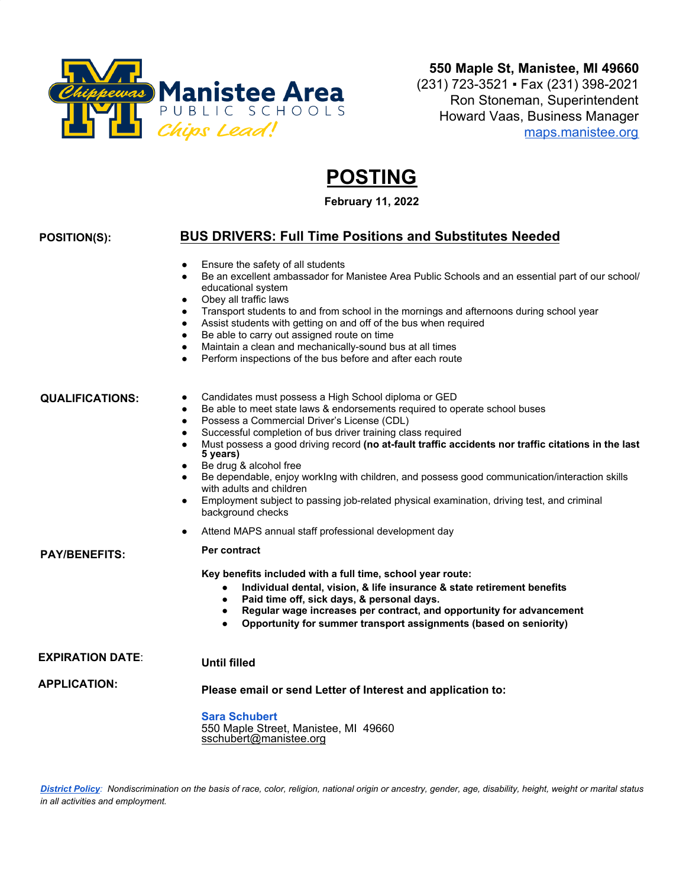

# **POSTING**

**February 11, 2022**

# **POSITION(S):**

# **BUS DRIVERS: Full Time Positions and Substitutes Needed**

- Ensure the safety of all students
- Be an excellent ambassador for Manistee Area Public Schools and an essential part of our school/ educational system
- Obey all traffic laws
- Transport students to and from school in the mornings and afternoons during school year
- Assist students with getting on and off of the bus when required
- Be able to carry out assigned route on time
- Maintain a clean and mechanically-sound bus at all times
- Perform inspections of the bus before and after each route

#### **QUALIFICATIONS:**

**PAY/BENEFITS:**

**APPLICATION:**

- Candidates must possess a High School diploma or GED
- Be able to meet state laws & endorsements required to operate school buses
- Possess a Commercial Driver's License (CDL)
- Successful completion of bus driver training class required
- Must possess a good driving record **(no at-fault traffic accidents nor traffic citations in the last 5 years)**
- Be drug & alcohol free
- Be dependable, enjoy workIng with children, and possess good communication/interaction skills with adults and children
- Employment subject to passing job-related physical examination, driving test, and criminal background checks
- Attend MAPS annual staff professional development day

**Per contract**

**Key benefits included with a full time, school year route:**

- **Individual dental, vision, & life insurance & state retirement benefits**
- **Paid time off, sick days, & personal days.**
- **Regular wage increases per contract, and opportunity for advancement**
- **Opportunity for summer transport assignments (based on seniority)**

#### **EXPIRATION DATE**: **Until filled**

**Please email or send Letter of Interest and application to:** 

**Sara Schubert** 550 Maple Street, Manistee, MI 49660 sschubert@manistee.org

*District Policy: Nondiscrimination on the basis of race, color, religion, national origin or ancestry, gender, age, disability, height, weight or marital status in all activities and employment.*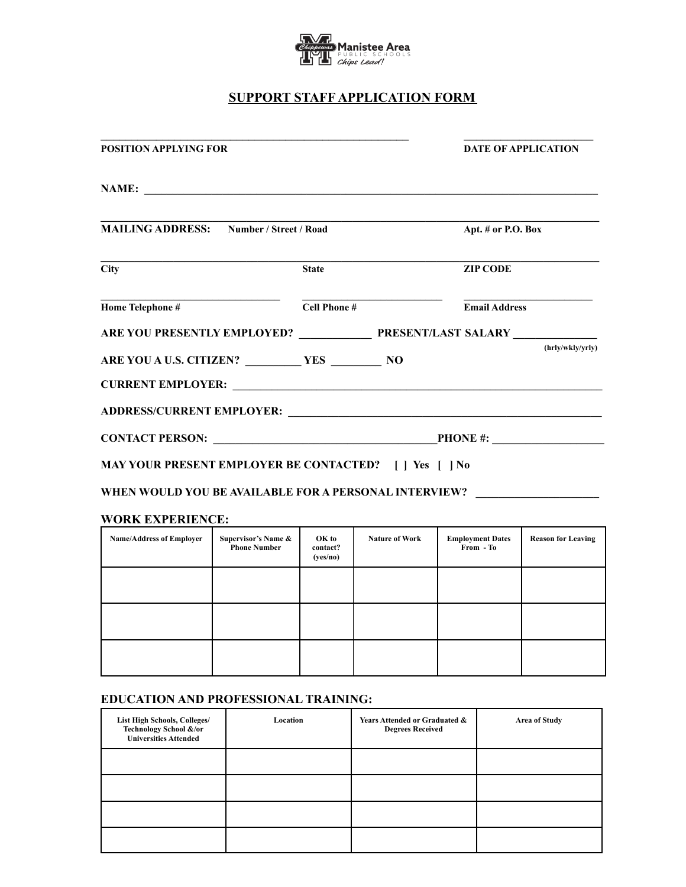

# **SUPPORT STAFF APPLICATION FORM**

| <b>POSITION APPLYING FOR</b>                                                      |              |  | <b>DATE OF APPLICATION</b> |  |  |
|-----------------------------------------------------------------------------------|--------------|--|----------------------------|--|--|
|                                                                                   |              |  |                            |  |  |
| <b>MAILING ADDRESS:</b> Number / Street / Road                                    |              |  | Apt. # or P.O. Box         |  |  |
| $\overline{\text{City}}$                                                          | <b>State</b> |  | <b>ZIP CODE</b>            |  |  |
| Home Telephone #                                                                  | Cell Phone # |  | <b>Email Address</b>       |  |  |
| ARE YOU PRESENTLY EMPLOYED? PRESENT/LAST SALARY _________________________________ |              |  |                            |  |  |
| ARE YOU A U.S. CITIZEN? VES VES NO                                                |              |  | (hrly/wkly/yrly)           |  |  |
|                                                                                   |              |  |                            |  |  |
|                                                                                   |              |  |                            |  |  |
| MAY YOUR PRESENT EMPLOYER BE CONTACTED?     Yes     No                            |              |  |                            |  |  |

WHEN WOULD YOU BE AVAILABLE FOR A PERSONAL INTERVIEW? **\_\_\_\_\_\_\_\_\_\_\_\_\_**\_\_\_\_\_\_\_\_\_\_\_\_\_

# **WORK EXPERIENCE:**

| <b>Name/Address of Employer</b> | Supervisor's Name &<br><b>Phone Number</b> | OK to<br>contact?<br>(yes/no) | <b>Nature of Work</b> | <b>Employment Dates</b><br>From - To | <b>Reason for Leaving</b> |
|---------------------------------|--------------------------------------------|-------------------------------|-----------------------|--------------------------------------|---------------------------|
|                                 |                                            |                               |                       |                                      |                           |
|                                 |                                            |                               |                       |                                      |                           |
|                                 |                                            |                               |                       |                                      |                           |

# **EDUCATION AND PROFESSIONAL TRAINING:**

| <b>List High Schools, Colleges/</b><br>Technology School &/or<br><b>Universities Attended</b> | Location | Years Attended or Graduated &<br><b>Degrees Received</b> | <b>Area of Study</b> |
|-----------------------------------------------------------------------------------------------|----------|----------------------------------------------------------|----------------------|
|                                                                                               |          |                                                          |                      |
|                                                                                               |          |                                                          |                      |
|                                                                                               |          |                                                          |                      |
|                                                                                               |          |                                                          |                      |